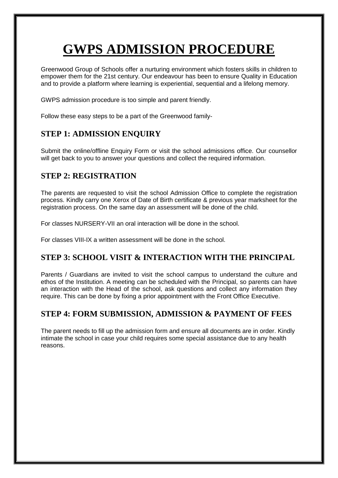# **GWPS ADMISSION PROCEDURE**

Greenwood Group of Schools offer a nurturing environment which fosters skills in children to empower them for the 21st century. Our endeavour has been to ensure Quality in Education and to provide a platform where learning is experiential, sequential and a lifelong memory.

GWPS admission procedure is too simple and parent friendly.

Follow these easy steps to be a part of the Greenwood family-

## **STEP 1: ADMISSION ENQUIRY**

Submit the online/offline Enquiry Form or visit the school admissions office. Our counsellor will get back to you to answer your questions and collect the required information.

## **STEP 2: REGISTRATION**

The parents are requested to visit the school Admission Office to complete the registration process. Kindly carry one Xerox of Date of Birth certificate & previous year marksheet for the registration process. On the same day an assessment will be done of the child.

For classes NURSERY-VII an oral interaction will be done in the school.

For classes VIII-IX a written assessment will be done in the school.

## **STEP 3: SCHOOL VISIT & INTERACTION WITH THE PRINCIPAL**

Parents / Guardians are invited to visit the school campus to understand the culture and ethos of the Institution. A meeting can be scheduled with the Principal, so parents can have an interaction with the Head of the school, ask questions and collect any information they require. This can be done by fixing a prior appointment with the Front Office Executive.

# **STEP 4: FORM SUBMISSION, ADMISSION & PAYMENT OF FEES**

The parent needs to fill up the admission form and ensure all documents are in order. Kindly intimate the school in case your child requires some special assistance due to any health reasons.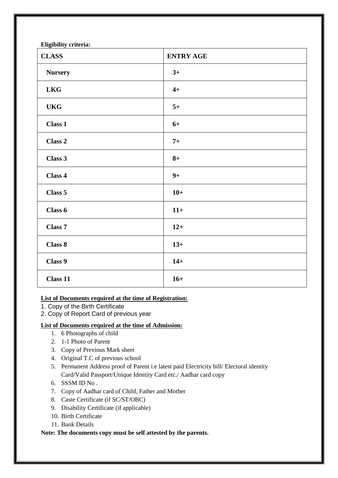| <b>CLASS</b>   | <b>ENTRY AGE</b> |
|----------------|------------------|
| <b>Nursery</b> | $3+$             |
| <b>LKG</b>     | $4+$             |
| <b>UKG</b>     | $5+$             |
| <b>Class 1</b> | $6+$             |
| Class 2        | $7+$             |
| Class 3        | $8+$             |
| Class 4        | $9+$             |
| Class 5        | $10+$            |
| Class 6        | $11+$            |
| Class 7        | $12+$            |
| Class 8        | $13+$            |
| Class 9        | $14+$            |
| Class 11       | $16+$            |

#### **List of Documents required at the time of Registration:**

- 1. Copy of the Birth Certificate
- 2. Copy of Report Card of previous year

#### **List of Documents required at the time of Admission:**

- 1. 6 Photographs of child
- 2. 1-1 Photo of Parent
- 3. Copy of Previous Mark sheet
- 4. Original T.C of previous school
- 5. Permanent Address proof of Parent i.e latest paid Electricity bill/ Electoral identity Card/Valid Passport/Unique Identity Card etc./ Aadhar card copy
- 6. SSSM ID No .
- 7. Copy of Aadhar card of Child, Father and Mother
- 8. Caste Certificate (if SC/ST/OBC)
- 9. Disability Certificate (if applicable)
- 10. Birth Certificate
- 11. Bank Details

#### **Note: The documents copy must be self attested by the parents.**